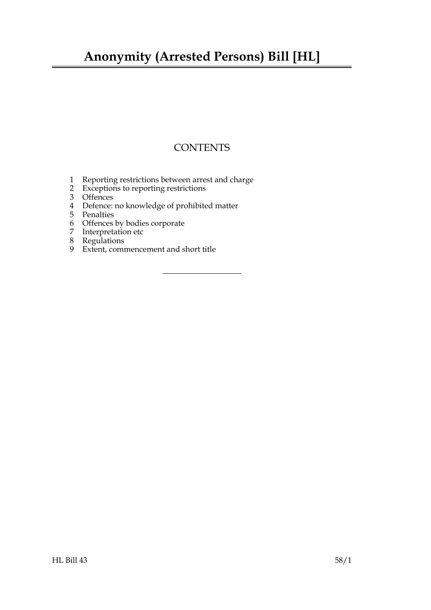## **Anonymity (Arrested Persons) Bill [HL]**

## **CONTENTS**

- [Reporting restrictions between arrest and charge](#page-2-0)
- [Exceptions to reporting restrictions](#page-2-1)
- [Offences](#page-3-0)
- [Defence: no knowledge of prohibited matter](#page-3-1)
- [Penalties](#page-3-2)
- [Offences by bodies corporate](#page-4-0)
- [Interpretation etc](#page-4-1)
- [Regulations](#page-5-0)
- [Extent, commencement and short title](#page-5-1)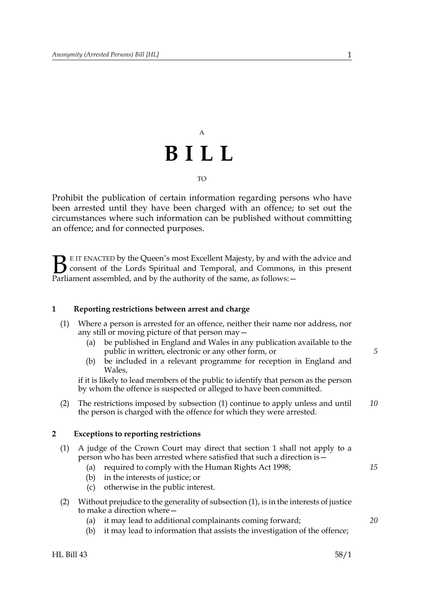## A **BILL** TO

Prohibit the publication of certain information regarding persons who have been arrested until they have been charged with an offence; to set out the circumstances where such information can be published without committing an offence; and for connected purposes.

**BE IT ENACTED by the Queen's most Excellent Majesty, by and with the advice and consent of the Lords Spiritual and Temporal, and Commons, in this present Parliament assembled and by the authority of the same as follows:** consent of the Lords Spiritual and Temporal, and Commons, in this present Parliament assembled, and by the authority of the same, as follows: -

#### <span id="page-2-2"></span><span id="page-2-0"></span>**1 Reporting restrictions between arrest and charge**

- <span id="page-2-3"></span>(1) Where a person is arrested for an offence, neither their name nor address, nor any still or moving picture of that person may—
	- (a) be published in England and Wales in any publication available to the public in written, electronic or any other form, or
	- (b) be included in a relevant programme for reception in England and Wales,

if it is likely to lead members of the public to identify that person as the person by whom the offence is suspected or alleged to have been committed.

(2) The restrictions imposed by subsection [\(1\)](#page-2-3) continue to apply unless and until the person is charged with the offence for which they were arrested. *10*

#### <span id="page-2-5"></span><span id="page-2-1"></span>**2 Exceptions to reporting restrictions**

- <span id="page-2-4"></span>(1) A judge of the Crown Court may direct that section [1](#page-2-2) shall not apply to a person who has been arrested where satisfied that such a direction is—
	- (a) required to comply with the Human Rights Act 1998;
		- (b) in the interests of justice; or
		- (c) otherwise in the public interest.
- (2) Without prejudice to the generality of subsection [\(1\)](#page-2-4), is in the interests of justice to make a direction where—
	- (a) it may lead to additional complainants coming forward;
	- (b) it may lead to information that assists the investigation of the offence;

*5*

*15*

*20*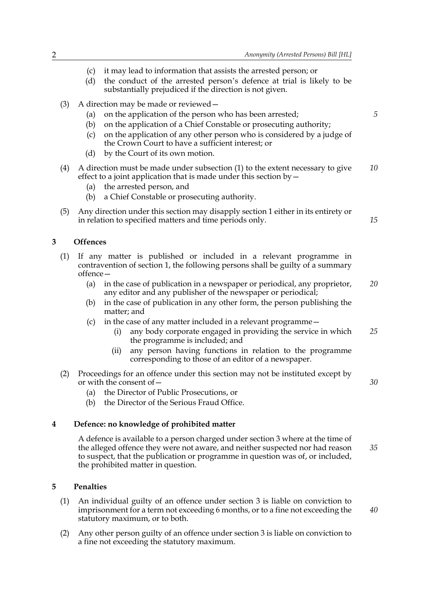*5*

*15*

*30*

*40*

- (c) it may lead to information that assists the arrested person; or
- (d) the conduct of the arrested person's defence at trial is likely to be substantially prejudiced if the direction is not given.
- (3) A direction may be made or reviewed—
	- (a) on the application of the person who has been arrested;
	- (b) on the application of a Chief Constable or prosecuting authority;
	- (c) on the application of any other person who is considered by a judge of the Crown Court to have a sufficient interest; or
	- (d) by the Court of its own motion.
- (4) A direction must be made under subsection [\(1\)](#page-2-4) to the extent necessary to give effect to a joint application that is made under this section by— *10*
	- (a) the arrested person, and
	- (b) a Chief Constable or prosecuting authority.
- (5) Any direction under this section may disapply section [1](#page-2-2) either in its entirety or in relation to specified matters and time periods only.

### <span id="page-3-3"></span><span id="page-3-0"></span>**3 Offences**

- (1) If any matter is published or included in a relevant programme in contravention of section [1](#page-2-2), the following persons shall be guilty of a summary offence—
	- (a) in the case of publication in a newspaper or periodical, any proprietor, any editor and any publisher of the newspaper or periodical; *20*
	- (b) in the case of publication in any other form, the person publishing the matter; and
	- (c) in the case of any matter included in a relevant programme
		- any body corporate engaged in providing the service in which the programme is included; and *25*
		- (ii) any person having functions in relation to the programme corresponding to those of an editor of a newspaper.
- (2) Proceedings for an offence under this section may not be instituted except by or with the consent of—
	- (a) the Director of Public Prosecutions, or
	- (b) the Director of the Serious Fraud Office.

### **4 Defence: no knowledge of prohibited matter**

<span id="page-3-1"></span>A defence is available to a person charged under section [3](#page-3-3) where at the time of the alleged offence they were not aware, and neither suspected nor had reason to suspect, that the publication or programme in question was of, or included, the prohibited matter in question. *35*

#### <span id="page-3-2"></span>**5 Penalties**

- (1) An individual guilty of an offence under section [3](#page-3-3) is liable on conviction to imprisonment for a term not exceeding 6 months, or to a fine not exceeding the statutory maximum, or to both.
- (2) Any other person guilty of an offence under section [3](#page-3-3) is liable on conviction to a fine not exceeding the statutory maximum.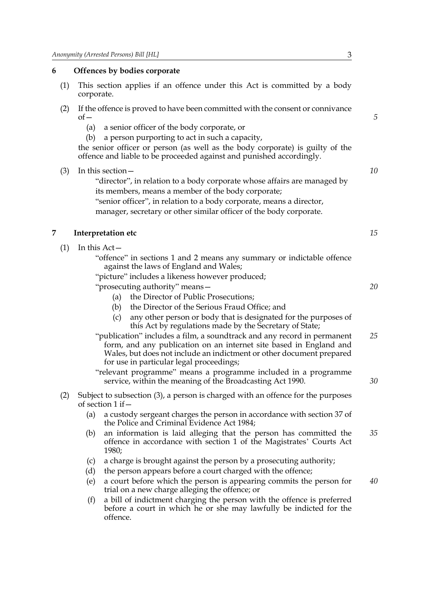#### <span id="page-4-0"></span>**6 Offences by bodies corporate**

- (1) This section applies if an offence under this Act is committed by a body corporate.
- (2) If the offence is proved to have been committed with the consent or connivance  $of$ 
	- (a) a senior officer of the body corporate, or
	- (b) a person purporting to act in such a capacity,

the senior officer or person (as well as the body corporate) is guilty of the offence and liable to be proceeded against and punished accordingly.

(3) In this section—

"director", in relation to a body corporate whose affairs are managed by its members, means a member of the body corporate;

"senior officer", in relation to a body corporate, means a director, manager, secretary or other similar officer of the body corporate.

#### <span id="page-4-2"></span><span id="page-4-1"></span>**7 Interpretation etc**

<span id="page-4-3"></span>(1) In this Act—

"offence" in sections [1](#page-2-2) and [2](#page-2-5) means any summary or indictable offence against the laws of England and Wales;

"picture" includes a likeness however produced;

- "prosecuting authority" means—
	- (a) the Director of Public Prosecutions;
	- (b) the Director of the Serious Fraud Office; and
	- (c) any other person or body that is designated for the purposes of this Act by regulations made by the Secretary of State;
- "publication" includes a film, a soundtrack and any record in permanent form, and any publication on an internet site based in England and Wales, but does not include an indictment or other document prepared for use in particular legal proceedings; *25*

"relevant programme" means a programme included in a programme service, within the meaning of the Broadcasting Act 1990.

- (2) Subject to subsection [\(3\)](#page-5-2), a person is charged with an offence for the purposes of section [1](#page-2-2) if—
	- (a) a custody sergeant charges the person in accordance with section 37 of the Police and Criminal Evidence Act 1984;
	- (b) an information is laid alleging that the person has committed the offence in accordance with section 1 of the Magistrates' Courts Act 1980; *35*
	- (c) a charge is brought against the person by a prosecuting authority;
	- (d) the person appears before a court charged with the offence;
	- (e) a court before which the person is appearing commits the person for trial on a new charge alleging the offence; or *40*
	- (f) a bill of indictment charging the person with the offence is preferred before a court in which he or she may lawfully be indicted for the offence.

*5*

*10*

*15*

*20*

*30*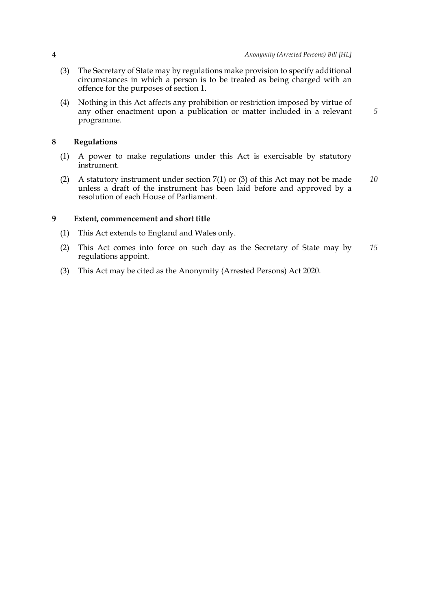*5*

- <span id="page-5-2"></span>(3) The Secretary of State may by regulations make provision to specify additional circumstances in which a person is to be treated as being charged with an offence for the purposes of section [1.](#page-2-2)
- (4) Nothing in this Act affects any prohibition or restriction imposed by virtue of any other enactment upon a publication or matter included in a relevant programme.

#### <span id="page-5-0"></span>**8 Regulations**

- (1) A power to make regulations under this Act is exercisable by statutory instrument.
- (2) A statutory instrument under section [7](#page-4-2)[\(1\)](#page-4-3) or [\(3\)](#page-5-2) of this Act may not be made unless a draft of the instrument has been laid before and approved by a resolution of each House of Parliament. *10*

#### <span id="page-5-1"></span>**9 Extent, commencement and short title**

- (1) This Act extends to England and Wales only.
- (2) This Act comes into force on such day as the Secretary of State may by regulations appoint. *15*
- (3) This Act may be cited as the Anonymity (Arrested Persons) Act 2020.